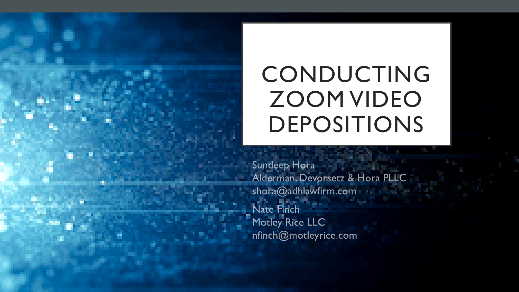# CONDUCTING ZOOM VIDEO DEPOSITIONS

Sundeep Hora Alderman, Devorsetz & Hora PLLC shora@adhlawfirm.com Nate Finch Motley Rice LLC nfinch@motleyrice.com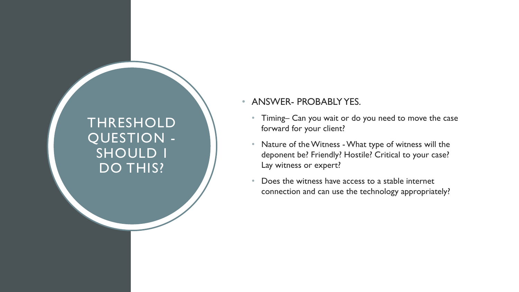#### THRESHOLD QUESTION - SHOULD I DO THIS?

#### • ANSWER- PROBABLY YES.

- Timing– Can you wait or do you need to move the case forward for your client?
- Nature of the Witness -What type of witness will the deponent be? Friendly? Hostile? Critical to your case? Lay witness or expert?
- Does the witness have access to a stable internet connection and can use the technology appropriately?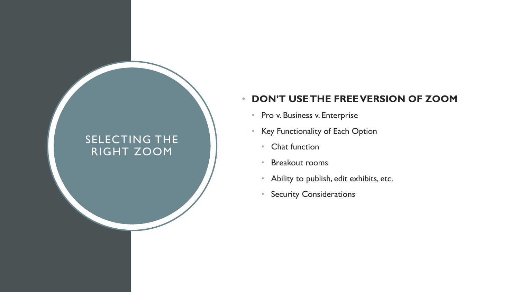#### • Pro v. Business v. Enterprise

- Key Functionality of Each Option
	- Chat function

SELECTING THE

RIGHT ZOOM

- Breakout rooms
- Ability to publish, edit exhibits, etc.

• **DON'T USE THE FREE VERSION OF ZOOM**

• Security Considerations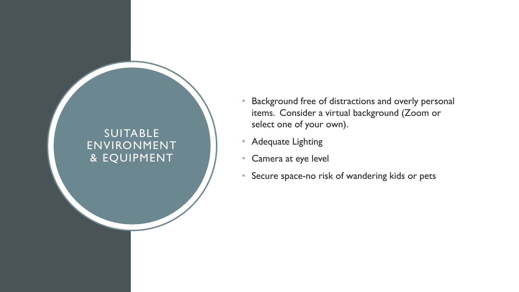#### SUITABLE ENVIRONMENT & EQUIPMENT

- Background free of distractions and overly personal items. Consider a virtual background (Zoom or select one of your own).
- Adequate Lighting
- Camera at eye level
- Secure space-no risk of wandering kids or pets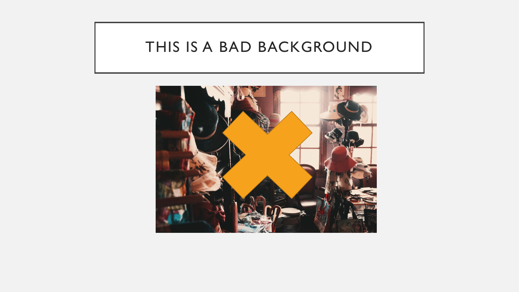#### THIS IS A BAD BACKGROUND

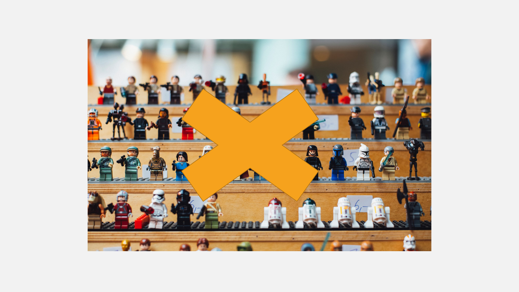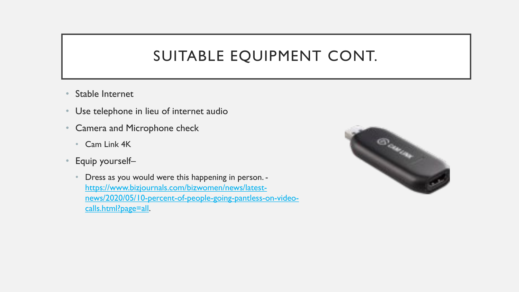### SUITABLE EQUIPMENT CONT.

- Stable Internet
- Use telephone in lieu of internet audio
- Camera and Microphone check
	- Cam Link 4K
- Equip yourself–
	- Dress as you would were this happening in person. https://www.bizjournals.com/bizwomen/news/latest[news/2020/05/10-percent-of-people-going-pantless-on-video](https://www.bizjournals.com/bizwomen/news/latest-news/2020/05/10-percent-of-people-going-pantless-on-video-calls.html?page=all)calls.html?page=all.

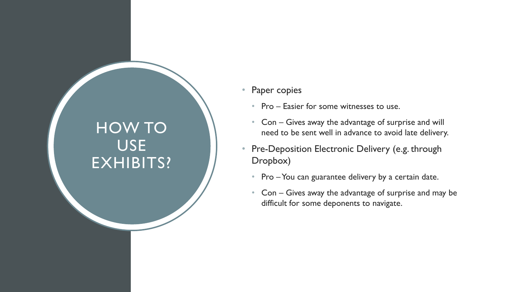## HOW TO USE EXHIBITS?

- Paper copies
	- Pro Easier for some witnesses to use.
	- Con Gives away the advantage of surprise and will need to be sent well in advance to avoid late delivery.
- Pre-Deposition Electronic Delivery (e.g. through Dropbox)
	- Pro You can guarantee delivery by a certain date.
	- Con Gives away the advantage of surprise and may be difficult for some deponents to navigate.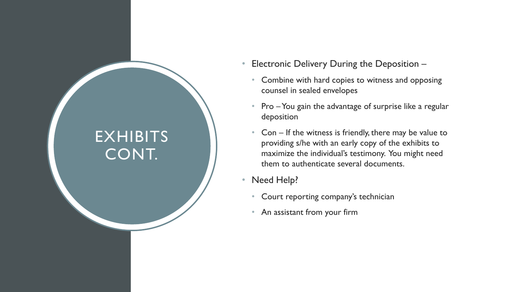### **EXHIBITS** CONT.

- Electronic Delivery During the Deposition
	- Combine with hard copies to witness and opposing counsel in sealed envelopes
	- Pro You gain the advantage of surprise like a regular deposition
	- Con If the witness is friendly, there may be value to providing s/he with an early copy of the exhibits to maximize the individual's testimony. You might need them to authenticate several documents.
- Need Help?
	- Court reporting company's technician
	- An assistant from your firm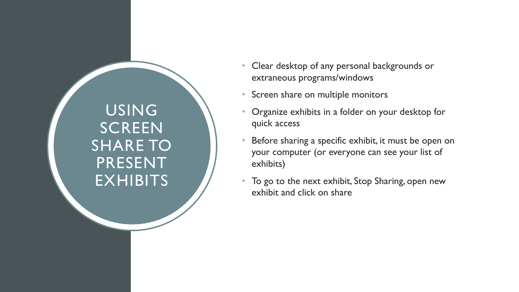### USING **SCREEN** SHARE TO PRESENT EXHIBITS

- Clear desktop of any personal backgrounds or extraneous programs/windows
- Screen share on multiple monitors
- Organize exhibits in a folder on your desktop for quick access
- Before sharing a specific exhibit, it must be open on your computer (or everyone can see your list of exhibits)
- To go to the next exhibit, Stop Sharing, open new exhibit and click on share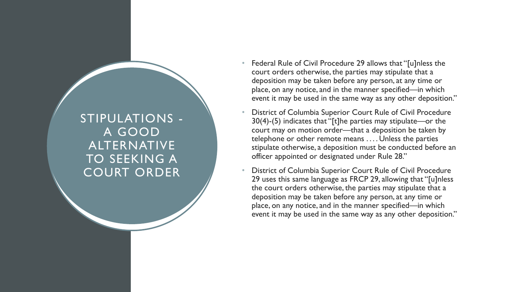STIPULATIONS - A GOOD ALTERNATIVE TO SEEKING A COURT ORDER

- Federal Rule of Civil Procedure 29 allows that "[u]nless the court orders otherwise, the parties may stipulate that a deposition may be taken before any person, at any time or place, on any notice, and in the manner specified—in which event it may be used in the same way as any other deposition."
- District of Columbia Superior Court Rule of Civil Procedure 30(4)-(5) indicates that "[t]he parties may stipulate—or the court may on motion order—that a deposition be taken by telephone or other remote means . . . . Unless the parties stipulate otherwise, a deposition must be conducted before an officer appointed or designated under Rule 28."
- District of Columbia Superior Court Rule of Civil Procedure 29 uses this same language as FRCP 29, allowing that "[u]nless the court orders otherwise, the parties may stipulate that a deposition may be taken before any person, at any time or place, on any notice, and in the manner specified—in which event it may be used in the same way as any other deposition."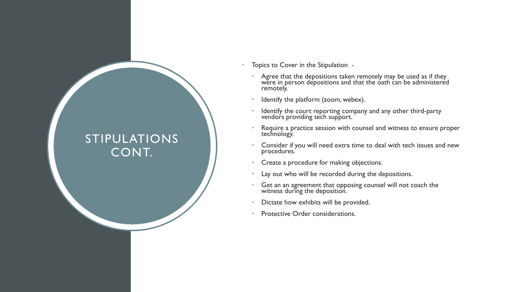#### STIPULATIONS CONT.

- Topics to Cover in the Stipulation
	- Agree that the depositions taken remotely may be used as if they were in person depositions and that the oath can be administered remotely.
	- Identify the platform (zoom, webex).
	- Identify the court reporting company and any other third-party vendors providing tech support.
	- Require a practice session with counsel and witness to ensure proper technology.
	- Consider if you will need extra time to deal with tech issues and new procedures.
	- Create a procedure for making objections.
	- Lay out who will be recorded during the depositions.
	- Get an an agreement that opposing counsel will not coach the witness during the deposition.
	- Dictate how exhibits will be provided.
	- Protective Order considerations.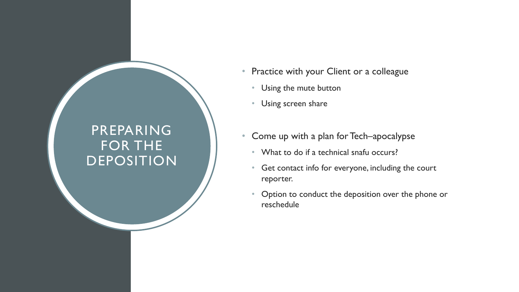#### PREPARING FOR THE DEPOSITION

- Practice with your Client or a colleague
	- Using the mute button
	- Using screen share
- Come up with a plan for Tech–apocalypse
	- What to do if a technical snafu occurs?
	- Get contact info for everyone, including the court reporter.
	- Option to conduct the deposition over the phone or reschedule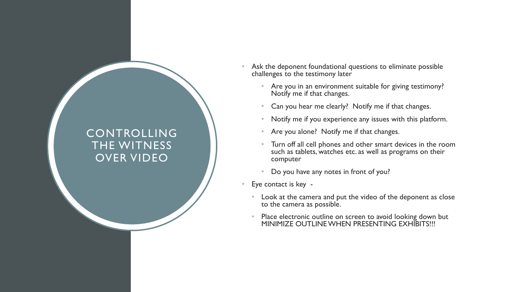#### CONTROLLING THE WITNESS OVER VIDEO

- Ask the deponent foundational questions to eliminate possible challenges to the testimony later
	- Are you in an environment suitable for giving testimony? Notify me if that changes.
	- Can you hear me clearly? Notify me if that changes.
	- Notify me if you experience any issues with this platform.
	- Are you alone? Notify me if that changes.
	- Turn off all cell phones and other smart devices in the room such as tablets, watches etc. as well as programs on their computer
	- Do you have any notes in front of you?
	- Eye contact is key -
	- Look at the camera and put the video of the deponent as close to the camera as possible.
	- Place electronic outline on screen to avoid looking down but MINIMIZE OUTLINE WHEN PRESENTING EXHIBITS!!!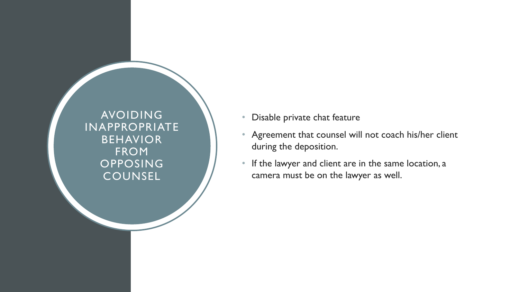AVOIDING INAPPROPRIATE BEHAVIOR FROM OPPOSING **COUNSEL** 

- Disable private chat feature
- Agreement that counsel will not coach his/her client during the deposition.
- If the lawyer and client are in the same location, a camera must be on the lawyer as well.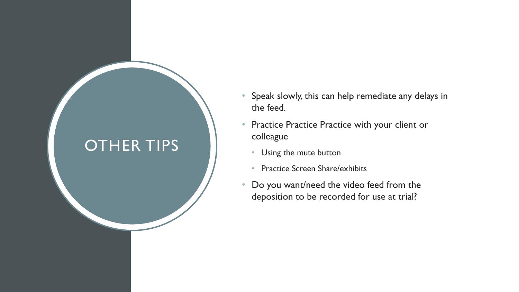### OTHER TIPS

- Speak slowly, this can help remediate any delays in the feed.
- Practice Practice Practice with your client or colleague
	- Using the mute button
	- Practice Screen Share/exhibits
- Do you want/need the video feed from the deposition to be recorded for use at trial?